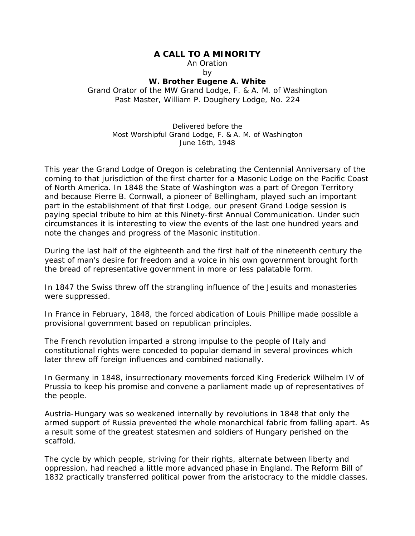## **A CALL TO A MINORITY**

An Oration

by

## **W. Brother Eugene A. White**

Grand Orator of the MW Grand Lodge, F. & A. M. of Washington Past Master, William P. Doughery Lodge, No. 224

> Delivered before the Most Worshipful Grand Lodge, F. & A. M. of Washington June 16th, 1948

This year the Grand Lodge of Oregon is celebrating the Centennial Anniversary of the coming to that jurisdiction of the first charter for a Masonic Lodge on the Pacific Coast of North America. In 1848 the State of Washington was a part of Oregon Territory and because Pierre B. Cornwall, a pioneer of Bellingham, played such an important part in the establishment of that first Lodge, our present Grand Lodge session is paying special tribute to him at this Ninety-first Annual Communication. Under such circumstances it is interesting to view the events of the last one hundred years and note the changes and progress of the Masonic institution.

During the last half of the eighteenth and the first half of the nineteenth century the yeast of man's desire for freedom and a voice in his own government brought forth the bread of representative government in more or less palatable form.

In 1847 the Swiss threw off the strangling influence of the Jesuits and monasteries were suppressed.

In France in February, 1848, the forced abdication of Louis Phillipe made possible a provisional government based on republican principles.

The French revolution imparted a strong impulse to the people of Italy and constitutional rights were conceded to popular demand in several provinces which later threw off foreign influences and combined nationally.

In Germany in 1848, insurrectionary movements forced King Frederick Wilhelm IV of Prussia to keep his promise and convene a parliament made up of representatives of the people.

Austria-Hungary was so weakened internally by revolutions in 1848 that only the armed support of Russia prevented the whole monarchical fabric from falling apart. As a result some of the greatest statesmen and soldiers of Hungary perished on the scaffold.

The cycle by which people, striving for their rights, alternate between liberty and oppression, had reached a little more advanced phase in England. The Reform Bill of 1832 practically transferred political power from the aristocracy to the middle classes.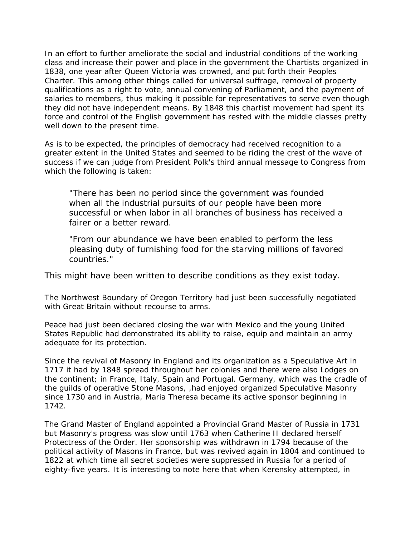In an effort to further ameliorate the social and industrial conditions of the working class and increase their power and place in the government the Chartists organized in 1838, one year after Queen Victoria was crowned, and put forth their Peoples Charter. This among other things called for universal suffrage, removal of property qualifications as a right to vote, annual convening of Parliament, and the payment of salaries to members, thus making it possible for representatives to serve even though they did not have independent means. By 1848 this chartist movement had spent its force and control of the English government has rested with the middle classes pretty well down to the present time.

As is to be expected, the principles of democracy had received recognition to a greater extent in the United States and seemed to be riding the crest of the wave of success if we can judge from President Polk's third annual message to Congress from which the following is taken:

"There has been no period since the government was founded when all the industrial pursuits of our people have been more successful or when labor in all branches of business has received a fairer or a better reward.

"From our abundance we have been enabled to perform the less pleasing duty of furnishing food for the starving millions of favored countries."

This might have been written to describe conditions as they exist today.

The Northwest Boundary of Oregon Territory had just been successfully negotiated with Great Britain without recourse to arms.

Peace had just been declared closing the war with Mexico and the young United States Republic had demonstrated its ability to raise, equip and maintain an army adequate for its protection.

Since the revival of Masonry in England and its organization as a Speculative Art in 1717 it had by 1848 spread throughout her colonies and there were also Lodges on the continent; in France, Italy, Spain and Portugal. Germany, which was the cradle of the guilds of operative Stone Masons, ,had enjoyed organized Speculative Masonry since 1730 and in Austria, Maria Theresa became its active sponsor beginning in 1742.

The Grand Master of England appointed a Provincial Grand Master of Russia in 1731 but Masonry's progress was slow until 1763 when Catherine II declared herself Protectress of the Order. Her sponsorship was withdrawn in 1794 because of the political activity of Masons in France, but was revived again in 1804 and continued to 1822 at which time all secret societies were suppressed in Russia for a period of eighty-five years. It is interesting to note here that when Kerensky attempted, in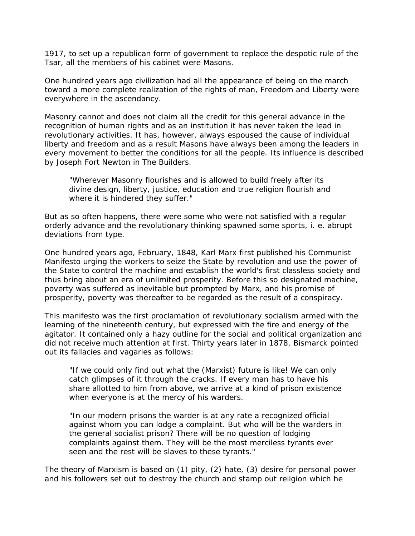1917, to set up a republican form of government to replace the despotic rule of the Tsar, all the members of his cabinet were Masons.

One hundred years ago civilization had all the appearance of being on the march toward a more complete realization of the rights of man, Freedom and Liberty were everywhere in the ascendancy.

Masonry cannot and does not claim all the credit for this general advance in the recognition of human rights and as an institution it has never taken the lead in revolutionary activities. It has, however, always espoused the cause of individual liberty and freedom and as a result Masons have always been among the leaders in every movement to better the conditions for all the people. Its influence is described by Joseph Fort Newton in The Builders.

"Wherever Masonry flourishes and is allowed to build freely after its divine design, liberty, justice, education and true religion flourish and where it is hindered they suffer."

But as so often happens, there were some who were not satisfied with a regular orderly advance and the revolutionary thinking spawned some sports, i. e. abrupt deviations from type.

One hundred years ago, February, 1848, Karl Marx first published his Communist Manifesto urging the workers to seize the State by revolution and use the power of the State to control the machine and establish the world's first classless society and thus bring about an era of unlimited prosperity. Before this so designated machine, poverty was suffered as inevitable but prompted by Marx, and his promise of prosperity, poverty was thereafter to be regarded as the result of a conspiracy.

This manifesto was the first proclamation of revolutionary socialism armed with the learning of the nineteenth century, but expressed with the fire and energy of the agitator. It contained only a hazy outline for the social and political organization and did not receive much attention at first. Thirty years later in 1878, Bismarck pointed out its fallacies and vagaries as follows:

"If we could only find out what the (Marxist) future is like! We can only catch glimpses of it through the cracks. If every man has to have his share allotted to him from above, we arrive at a kind of prison existence when everyone is at the mercy of his warders.

"In our modern prisons the warder is at any rate a recognized official against whom you can lodge a complaint. But who will be the warders in the general socialist prison? There will be no question of lodging complaints against them. They will be the most merciless tyrants ever seen and the rest will be slaves to these tyrants."

The theory of Marxism is based on (1) pity, (2) hate, (3) desire for personal power and his followers set out to destroy the church and stamp out religion which he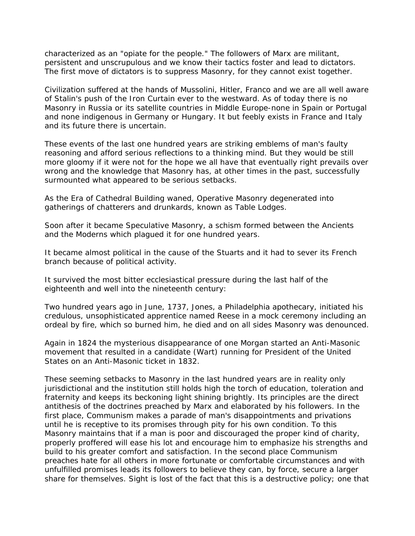characterized as an "opiate for the people." The followers of Marx are militant, persistent and unscrupulous and we know their tactics foster and lead to dictators. The first move of dictators is to suppress Masonry, for they cannot exist together.

Civilization suffered at the hands of Mussolini, Hitler, Franco and we are all well aware of Stalin's push of the Iron Curtain ever to the westward. As of today there is no Masonry in Russia or its satellite countries in Middle Europe-none in Spain or Portugal and none indigenous in Germany or Hungary. It but feebly exists in France and Italy and its future there is uncertain.

These events of the last one hundred years are striking emblems of man's faulty reasoning and afford serious reflections to a thinking mind. But they would be still more gloomy if it were not for the hope we all have that eventually right prevails over wrong and the knowledge that Masonry has, at other times in the past, successfully surmounted what appeared to be serious setbacks.

As the Era of Cathedral Building waned, Operative Masonry degenerated into gatherings of chatterers and drunkards, known as Table Lodges.

Soon after it became Speculative Masonry, a schism formed between the Ancients and the Moderns which plagued it for one hundred years.

It became almost political in the cause of the Stuarts and it had to sever its French branch because of political activity.

It survived the most bitter ecclesiastical pressure during the last half of the eighteenth and well into the nineteenth century:

Two hundred years ago in June, 1737, Jones, a Philadelphia apothecary, initiated his credulous, unsophisticated apprentice named Reese in a mock ceremony including an ordeal by fire, which so burned him, he died and on all sides Masonry was denounced.

Again in 1824 the mysterious disappearance of one Morgan started an Anti-Masonic movement that resulted in a candidate (Wart) running for President of the United States on an Anti-Masonic ticket in 1832.

These seeming setbacks to Masonry in the last hundred years are in reality only jurisdictional and the institution still holds high the torch of education, toleration and fraternity and keeps its beckoning light shining brightly. Its principles are the direct antithesis of the doctrines preached by Marx and elaborated by his followers. In the first place, Communism makes a parade of man's disappointments and privations until he is receptive to its promises through pity for his own condition. To this Masonry maintains that if a man is poor and discouraged the proper kind of charity, properly proffered will ease his lot and encourage him to emphasize his strengths and build to his greater comfort and satisfaction. In the second place Communism preaches hate for all others in more fortunate or comfortable circumstances and with unfulfilled promises leads its followers to believe they can, by force, secure a larger share for themselves. Sight is lost of the fact that this is a destructive policy; one that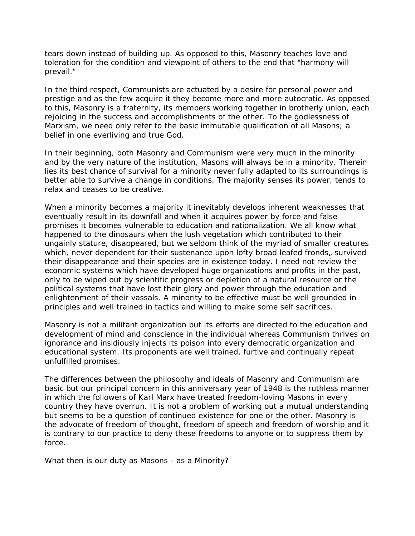tears down instead of building up. As opposed to this, Masonry teaches love and toleration for the condition and viewpoint of others to the end that "harmony will prevail."

In the third respect, Communists are actuated by a desire for personal power and prestige and as the few acquire it they become more and more autocratic. As opposed to this, Masonry is a fraternity, its members working together in brotherly union, each rejoicing in the success and accomplishments of the other. To the godlessness of Marxism, we need only refer to the basic immutable qualification of all Masons; a belief in one everliving and true God.

In their beginning, both Masonry and Communism were very much in the minority and by the very nature of the institution, Masons will always be in a minority. Therein lies its best chance of survival for a minority never fully adapted to its surroundings is better able to survive a change in conditions. The majority senses its power, tends to relax and ceases to be creative.

When a minority becomes a majority it inevitably develops inherent weaknesses that eventually result in its downfall and when it acquires power by force and false promises it becomes vulnerable to education and rationalization. We all know what happened to the dinosaurs when the lush vegetation which contributed to their ungainly stature, disappeared, but we seldom think of the myriad of smaller creatures which, never dependent for their sustenance upon lofty broad leafed fronds, survived their disappearance and their species are in existence today. I need not review the economic systems which have developed huge organizations and profits in the past, only to be wiped out by scientific progress or depletion of a natural resource or the political systems that have lost their glory and power through the education and enlightenment of their vassals. A minority to be effective must be well grounded in principles and well trained in tactics and willing to make some self sacrifices.

Masonry is not a militant organization but its efforts are directed to the education and development of mind and conscience in the individual whereas Communism thrives on ignorance and insidiously injects its poison into every democratic organization and educational system. Its proponents are well trained, furtive and continually repeat unfulfilled promises.

The differences between the philosophy and ideals of Masonry and Communism are basic but our principal concern in this anniversary year of 1948 is the ruthless manner in which the followers of Karl Marx have treated freedom-loving Masons in every country they have overrun. It is not a problem of working out a mutual understanding but seems to be a question of continued existence for one or the other. Masonry is the advocate of freedom of thought, freedom of speech and freedom of worship and it is contrary to our practice to deny these freedoms to anyone or to suppress them by force.

What then is our duty as Masons - as a Minority?